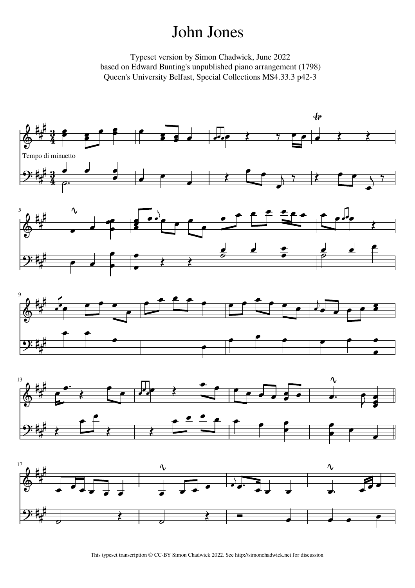## John Jones

Typeset version by Simon Chadwick, June 2022 based on Edward Bunting's unpublished piano arrangement (1798) Queen's University Belfast, Special Collections MS4.33.3 p42-3